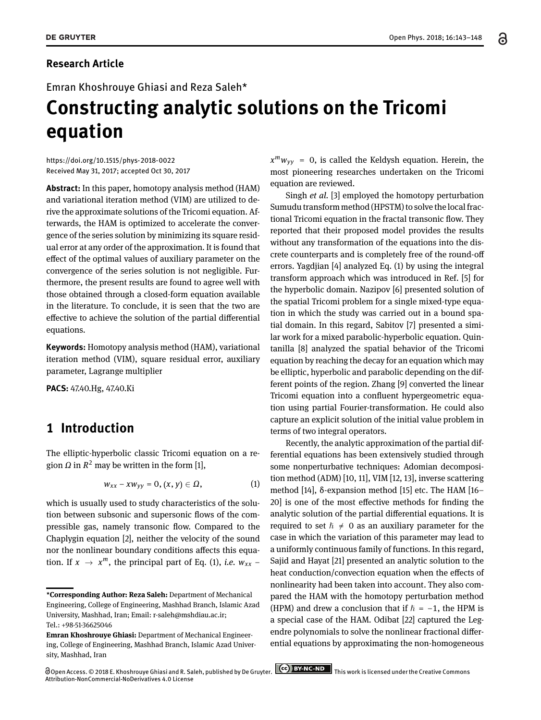Emran Khoshrouye Ghiasi and Reza Saleh\*

# **Constructing analytic solutions on the Tricomi equation**

<https://doi.org/10.1515/phys-2018-0022> Received May 31, 2017; accepted Oct 30, 2017

**Abstract:** In this paper, homotopy analysis method (HAM) and variational iteration method (VIM) are utilized to derive the approximate solutions of the Tricomi equation. Afterwards, the HAM is optimized to accelerate the convergence of the series solution by minimizing its square residual error at any order of the approximation. It is found that effect of the optimal values of auxiliary parameter on the convergence of the series solution is not negligible. Furthermore, the present results are found to agree well with those obtained through a closed-form equation available in the literature. To conclude, it is seen that the two are effective to achieve the solution of the partial differential equations.

**Keywords:** Homotopy analysis method (HAM), variational iteration method (VIM), square residual error, auxiliary parameter, Lagrange multiplier

**PACS:** 47.40.Hg, 47.40.Ki

## **1 Introduction**

The elliptic-hyperbolic classic Tricomi equation on a region  $\Omega$  in  $R^2$  may be written in the form [\[1\]](#page-4-0),

$$
w_{xx}-xw_{yy}=0, (x, y)\in \Omega, \qquad (1)
$$

which is usually used to study characteristics of the solution between subsonic and supersonic flows of the compressible gas, namely transonic flow. Compared to the Chaplygin equation [\[2\]](#page-4-1), neither the velocity of the sound nor the nonlinear boundary conditions affects this equation. If  $x \rightarrow x^m$ , the principal part of Eq. [\(1\)](#page-0-0), *i.e.*  $w_{xx}$  –

Open Access. © 2018 E. Khoshrouye Ghiasi and R. Saleh, published by De Gruyter. **CCC** BY ANCEND This work is licensed under the Creative Commons Attribution-NonCommercial-NoDerivatives 4.0 License

*x <sup>m</sup>wyy* = 0, is called the Keldysh equation. Herein, the most pioneering researches undertaken on the Tricomi equation are reviewed.

Singh *et al.* [\[3\]](#page-4-2) employed the homotopy perturbation Sumudu transform method (HPSTM) to solve the local fractional Tricomi equation in the fractal transonic flow. They reported that their proposed model provides the results without any transformation of the equations into the discrete counterparts and is completely free of the round-off errors. Yagdjian [\[4\]](#page-4-3) analyzed Eq. [\(1\)](#page-0-0) by using the integral transform approach which was introduced in Ref. [\[5\]](#page-4-4) for the hyperbolic domain. Nazipov [\[6\]](#page-4-5) presented solution of the spatial Tricomi problem for a single mixed-type equation in which the study was carried out in a bound spatial domain. In this regard, Sabitov [\[7\]](#page-4-6) presented a similar work for a mixed parabolic-hyperbolic equation. Quintanilla [\[8\]](#page-4-7) analyzed the spatial behavior of the Tricomi equation by reaching the decay for an equation which may be elliptic, hyperbolic and parabolic depending on the different points of the region. Zhang [\[9\]](#page-4-8) converted the linear Tricomi equation into a confluent hypergeometric equation using partial Fourier-transformation. He could also capture an explicit solution of the initial value problem in terms of two integral operators.

<span id="page-0-0"></span>Recently, the analytic approximation of the partial differential equations has been extensively studied through some nonperturbative techniques: Adomian decomposition method (ADM) [\[10,](#page-4-9) [11\]](#page-4-10), VIM [\[12,](#page-4-11) [13\]](#page-4-12), inverse scattering method [\[14\]](#page-4-13), δ-expansion method [\[15\]](#page-4-14) etc. The HAM [\[16–](#page-4-15) [20\]](#page-4-16) is one of the most effective methods for finding the analytic solution of the partial differential equations. It is required to set  $\hbar \neq 0$  as an auxiliary parameter for the case in which the variation of this parameter may lead to a uniformly continuous family of functions. In this regard, Sajid and Hayat [\[21\]](#page-4-17) presented an analytic solution to the heat conduction/convection equation when the effects of nonlinearity had been taken into account. They also compared the HAM with the homotopy perturbation method (HPM) and drew a conclusion that if  $\hbar = -1$ , the HPM is a special case of the HAM. Odibat [\[22\]](#page-4-18) captured the Legendre polynomials to solve the nonlinear fractional differential equations by approximating the non-homogeneous

**<sup>\*</sup>Corresponding Author: Reza Saleh:** Department of Mechanical Engineering, College of Engineering, Mashhad Branch, Islamic Azad University, Mashhad, Iran; Email: r-saleh@mshdiau.ac.ir; Tel.: +98-51-36625046

**Emran Khoshrouye Ghiasi:** Department of Mechanical Engineering, College of Engineering, Mashhad Branch, Islamic Azad University, Mashhad, Iran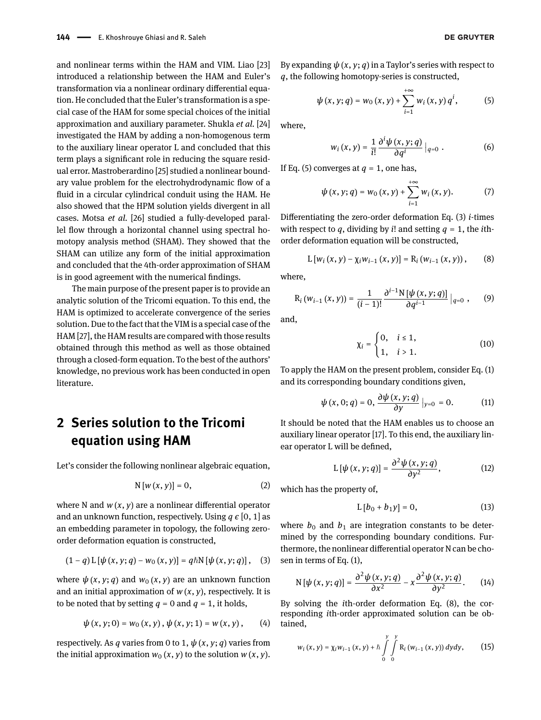and nonlinear terms within the HAM and VIM. Liao [\[23\]](#page-5-1) introduced a relationship between the HAM and Euler's transformation via a nonlinear ordinary differential equation. He concluded that the Euler's transformation is a special case of the HAM for some special choices of the initial approximation and auxiliary parameter. Shukla *et al.* [\[24\]](#page-5-2) investigated the HAM by adding a non-homogenous term to the auxiliary linear operator L and concluded that this term plays a significant role in reducing the square residual error. Mastroberardino [\[25\]](#page-5-3) studied a nonlinear boundary value problem for the electrohydrodynamic flow of a fluid in a circular cylindrical conduit using the HAM. He also showed that the HPM solution yields divergent in all cases. Motsa *et al.* [\[26\]](#page-5-4) studied a fully-developed parallel flow through a horizontal channel using spectral homotopy analysis method (SHAM). They showed that the SHAM can utilize any form of the initial approximation and concluded that the 4th-order approximation of SHAM is in good agreement with the numerical findings.

The main purpose of the present paper is to provide an analytic solution of the Tricomi equation. To this end, the HAM is optimized to accelerate convergence of the series solution. Due to the fact that the VIM is a special case of the HAM [\[27\]](#page-5-5), the HAM results are compared with those results obtained through this method as well as those obtained through a closed-form equation. To the best of the authors' knowledge, no previous work has been conducted in open literature.

## **2 Series solution to the Tricomi equation using HAM**

Let's consider the following nonlinear algebraic equation,

$$
N[w(x, y)] = 0, \qquad (2)
$$

where N and *w* (*x*, *y*) are a nonlinear differential operator and an unknown function, respectively. Using *q ϵ* [0, 1] as an embedding parameter in topology, the following zeroorder deformation equation is constructed,

$$
(1-q) L [\psi(x, y; q) - w_0(x, y)] = q \hbar N [\psi(x, y; q)], (3)
$$

where  $\psi(x, y; q)$  and  $w_0(x, y)$  are an unknown function and an initial approximation of  $w(x, y)$ , respectively. It is to be noted that by setting  $q = 0$  and  $q = 1$ , it holds,

$$
\psi(x, y; 0) = w_0(x, y), \psi(x, y; 1) = w(x, y), \qquad (4)
$$

respectively. As *q* varies from 0 to 1,  $\psi$  (*x*, *y*; *q*) varies from the initial approximation  $w_0(x, y)$  to the solution  $w(x, y)$ . By expanding  $\psi(x, y; q)$  in a Taylor's series with respect to *q*, the following homotopy-series is constructed,

$$
\psi(x, y; q) = w_0(x, y) + \sum_{i=1}^{+\infty} w_i(x, y) q^i, \tag{5}
$$

where,

<span id="page-1-0"></span>
$$
w_i(x, y) = \frac{1}{i!} \frac{\partial^i \psi(x, y; q)}{\partial q^i} \big|_{q=0} \ . \tag{6}
$$

If Eq. [\(5\)](#page-1-0) converges at  $q = 1$ , one has,

$$
\psi(x, y; q) = w_0(x, y) + \sum_{i=1}^{+\infty} w_i(x, y). \tag{7}
$$

Differentiating the zero-order deformation Eq. [\(3\)](#page-1-1) *i*-times with respect to  $q$ , dividing by *i*! and setting  $q = 1$ , the *i*thorder deformation equation will be constructed,

$$
L [w_i (x, y) - \chi_i w_{i-1} (x, y)] = R_i (w_{i-1} (x, y)), \quad (8)
$$

where,

$$
R_i(w_{i-1}(x, y)) = \frac{1}{(i-1)!} \frac{\partial^{i-1} N[\psi(x, y; q)]}{\partial q^{i-1}} |_{q=0} , \qquad (9)
$$

and,

<span id="page-1-2"></span>
$$
\chi_i = \begin{cases} 0, & i \le 1, \\ 1, & i > 1. \end{cases}
$$
 (10)

To apply the HAM on the present problem, consider Eq. [\(1\)](#page-0-0) and its corresponding boundary conditions given,

$$
\psi(x,0;q) = 0, \frac{\partial \psi(x,y;q)}{\partial y}\big|_{y=0} = 0. \tag{11}
$$

It should be noted that the HAM enables us to choose an auxiliary linear operator [\[17\]](#page-4-19). To this end, the auxiliary linear operator L will be defined,

$$
L\left[\psi\left(x,y;q\right)\right]=\frac{\partial^2\psi\left(x,y;q\right)}{\partial y^2},\qquad \qquad (12)
$$

which has the property of,

$$
L[b_0 + b_1 y] = 0, \t(13)
$$

<span id="page-1-1"></span>where  $b_0$  and  $b_1$  are integration constants to be determined by the corresponding boundary conditions. Furthermore, the nonlinear differential operator N can be chosen in terms of Eq. [\(1\)](#page-0-0),

$$
N[\psi(x, y; q)] = \frac{\partial^2 \psi(x, y; q)}{\partial x^2} - x \frac{\partial^2 \psi(x, y; q)}{\partial y^2}.
$$
 (14)

By solving the *i*th-order deformation Eq. [\(8\)](#page-1-2), the corresponding *i*th-order approximated solution can be obtained,

$$
w_i(x, y) = \chi_i w_{i-1}(x, y) + \hbar \int\limits_{0}^{y} \int\limits_{0}^{y} R_i(w_{i-1}(x, y)) dy dy, \qquad (15)
$$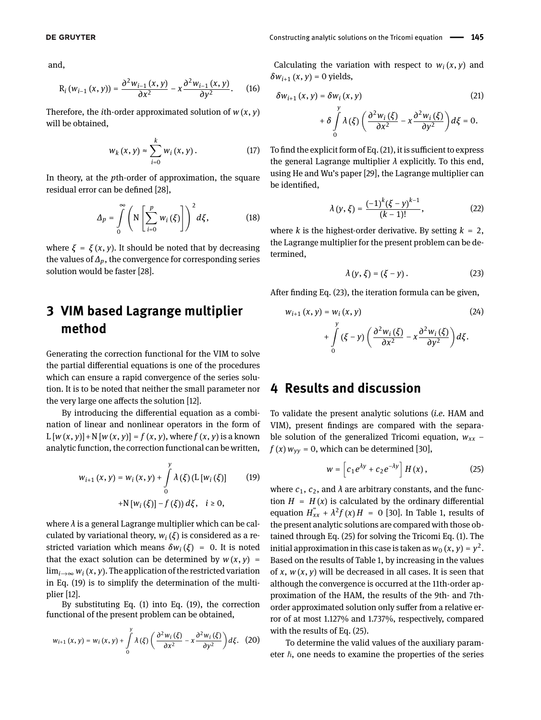and,

$$
R_i(w_{i-1}(x, y)) = \frac{\partial^2 w_{i-1}(x, y)}{\partial x^2} - x \frac{\partial^2 w_{i-1}(x, y)}{\partial y^2}.
$$
 (16)

Therefore, the *i*th-order approximated solution of *w* (*x*, *y*) will be obtained,

$$
W_k(x, y) \approx \sum_{i=0}^k W_i(x, y).
$$
 (17)

In theory, at the *p*th-order of approximation, the square residual error can be defined [\[28\]](#page-5-6),

$$
\Delta_p = \int\limits_0^\infty \left( \mathrm{N} \left[ \sum_{i=0}^p w_i \left( \xi \right) \right] \right)^2 d\xi, \tag{18}
$$

where  $\xi = \xi(x, y)$ . It should be noted that by decreasing the values of *∆p*, the convergence for corresponding series solution would be faster [\[28\]](#page-5-6).

## **3 VIM based Lagrange multiplier method**

Generating the correction functional for the VIM to solve the partial differential equations is one of the procedures which can ensure a rapid convergence of the series solution. It is to be noted that neither the small parameter nor the very large one affects the solution [\[12\]](#page-4-11).

By introducing the differential equation as a combination of linear and nonlinear operators in the form of  $L [w (x, y)] + N [w (x, y)] = f (x, y)$ , where  $f (x, y)$  is a known analytic function, the correction functional can be written,

$$
w_{i+1}(x, y) = w_i(x, y) + \int_{0}^{y} \lambda(\xi) (L[w_i(\xi))
$$
 (19)  
+N [w<sub>i</sub>( $\xi$ )] - f( $\xi$ ))  $d\xi$ ,  $i \ge 0$ ,

where *λ* is a general Lagrange multiplier which can be calculated by variational theory,  $w_i(\xi)$  is considered as a restricted variation which means  $\delta w_i(\xi) = 0$ . It is noted that the exact solution can be determined by  $w(x, y) =$  $\lim_{i\to\infty} w_i(x, y)$ . The application of the restricted variation in Eq. [\(19\)](#page-2-0) is to simplify the determination of the multiplier [\[12\]](#page-4-11).

By substituting Eq. [\(1\)](#page-0-0) into Eq. [\(19\)](#page-2-0), the correction functional of the present problem can be obtained,

$$
w_{i+1}(x, y) = w_i(x, y) + \int\limits_0^y \lambda(\xi) \left( \frac{\partial^2 w_i(\xi)}{\partial x^2} - x \frac{\partial^2 w_i(\xi)}{\partial y^2} \right) d\xi. \tag{20}
$$

Calculating the variation with respect to  $w_i(x, y)$  and  $\delta w_{i+1}(x, y) = 0$  yields,

$$
\delta w_{i+1}(x, y) = \delta w_i(x, y)
$$
\n
$$
+ \delta \int_{0}^{y} \lambda(\xi) \left( \frac{\partial^2 w_i(\xi)}{\partial x^2} - x \frac{\partial^2 w_i(\xi)}{\partial y^2} \right) d\xi = 0.
$$
\n(21)

To find the explicit form of Eq. [\(21\)](#page-2-1), it is sufficient to express the general Lagrange multiplier *λ* explicitly. To this end, using He and Wu's paper [\[29\]](#page-5-7), the Lagrange multiplier can be identified,

$$
\lambda(y,\xi) = \frac{(-1)^k (\xi - y)^{k-1}}{(k-1)!},
$$
\n(22)

<span id="page-2-5"></span>where *k* is the highest-order derivative. By setting  $k = 2$ , the Lagrange multiplier for the present problem can be determined,

<span id="page-2-4"></span><span id="page-2-2"></span>
$$
\lambda(y,\xi)=(\xi-y). \tag{23}
$$

After finding Eq. [\(23\)](#page-2-2), the iteration formula can be given,

$$
w_{i+1}(x, y) = w_i(x, y)
$$
\n
$$
+ \int_{0}^{y} (\xi - y) \left( \frac{\partial^2 w_i(\xi)}{\partial x^2} - x \frac{\partial^2 w_i(\xi)}{\partial y^2} \right) d\xi.
$$
\n(24)

#### **4 Results and discussion**

To validate the present analytic solutions (*i.e.* HAM and VIM), present findings are compared with the separable solution of the generalized Tricomi equation, *wxx* −  $f(x) w_{yy} = 0$ , which can be determined [\[30\]](#page-5-8),

<span id="page-2-3"></span>
$$
w = \left[c_1 e^{\lambda y} + c_2 e^{-\lambda y}\right] H(x), \qquad (25)
$$

<span id="page-2-0"></span>where  $c_1$ ,  $c_2$ , and  $\lambda$  are arbitrary constants, and the function  $H = H(x)$  is calculated by the ordinary differential equation  $H_{xx}^{"} + \lambda^2 f(x)H = 0$  [\[30\]](#page-5-8). In Table [1,](#page-3-0) results of the present analytic solutions are compared with those obtained through Eq. [\(25\)](#page-2-3) for solving the Tricomi Eq. [\(1\)](#page-0-0). The initial approximation in this case is taken as  $w_0(x, y) = y^2$ . Based on the results of Table [1,](#page-3-0) by increasing in the values of *x*, *w* (*x*, *y*) will be decreased in all cases. It is seen that although the convergence is occurred at the 11th-order approximation of the HAM, the results of the 9th- and 7thorder approximated solution only suffer from a relative error of at most 1.127% and 1.737%, respectively, compared with the results of Eq. [\(25\)](#page-2-3).

To determine the valid values of the auxiliary parameter  $\hbar$ , one needs to examine the properties of the series

<span id="page-2-1"></span>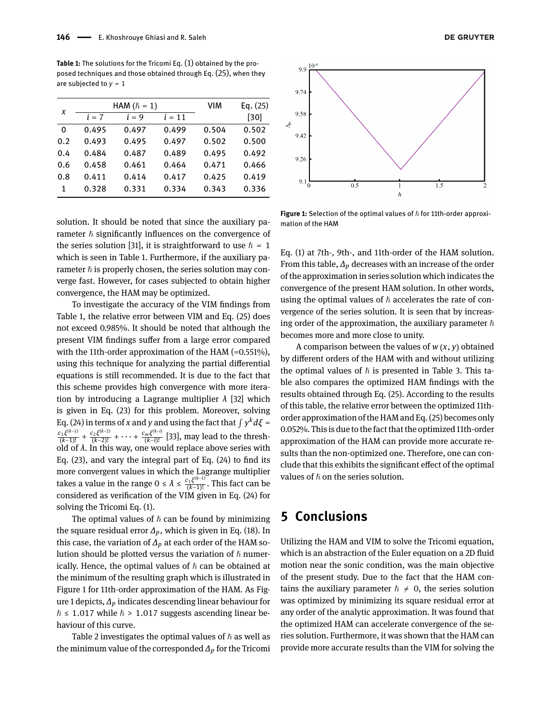<span id="page-3-0"></span>**Table 1:** The solutions for the Tricomi Eq. [\(1\)](#page-0-0) obtained by the proposed techniques and those obtained through Eq. [\(25\)](#page-2-3), when they are subjected to  $y = 1$ 

| X   |         | HAM $(\hbar = 1)$ | VIM      | Eq. $(25)$ |       |
|-----|---------|-------------------|----------|------------|-------|
|     | $i = 7$ | $i = 9$           | $i = 11$ |            | [30]  |
| 0   | 0.495   | 0.497             | 0.499    | 0.504      | 0.502 |
| 0.2 | 0.493   | 0.495             | 0.497    | 0.502      | 0.500 |
| 0.4 | 0.484   | 0.487             | 0.489    | 0.495      | 0.492 |
| 0.6 | 0.458   | 0.461             | 0.464    | 0.471      | 0.466 |
| 0.8 | 0.411   | 0.414             | 0.417    | 0.425      | 0.419 |
| 1   | 0.328   | 0.331             | 0.334    | 0.343      | 0.336 |
|     |         |                   |          |            |       |

solution. It should be noted that since the auxiliary parameter  $\hbar$  significantly influences on the convergence of the series solution [\[31\]](#page-5-9), it is straightforward to use  $\hbar = 1$ which is seen in Table [1.](#page-3-0) Furthermore, if the auxiliary parameter  $\hbar$  is properly chosen, the series solution may converge fast. However, for cases subjected to obtain higher convergence, the HAM may be optimized.

To investigate the accuracy of the VIM findings from Table [1,](#page-3-0) the relative error between VIM and Eq. [\(25\)](#page-2-3) does not exceed 0.985%. It should be noted that although the present VIM findings suffer from a large error compared with the 11th-order approximation of the HAM  $(=0.551\%)$ , using this technique for analyzing the partial differential equations is still recommended. It is due to the fact that this scheme provides high convergence with more iteration by introducing a Lagrange multiplier *λ* [\[32\]](#page-5-10) which is given in Eq. [\(23\)](#page-2-2) for this problem. Moreover, solving Eq. [\(24\)](#page-2-4) in terms of *x* and *y* and using the fact that  $\int y^k d\zeta =$ *c*1*ξ* (*k*−1)  $\frac{c_1\xi^{(k-1)}}{(k-1)!} + \frac{c_2\xi^{(k-2)}}{(k-2)!}$  $\frac{c_2\xi^{(k-2)}}{(k-2)!} + \cdots + \frac{c_m\xi^{(k-i)}}{(k-i)!}$ <del>ms`</del> [\[33\]](#page-5-11), may lead to the threshold of *λ*. In this way, one would replace above series with Eq. [\(23\)](#page-2-2), and vary the integral part of Eq. [\(24\)](#page-2-4) to find its more convergent values in which the Lagrange multiplier takes a value in the range  $0 \leq \lambda \leq \frac{c_1 \xi^{(k-1)}}{(k-1)!}$ (*k*−1)! . This fact can be considered as verification of the VIM given in Eq. [\(24\)](#page-2-4) for solving the Tricomi Eq. [\(1\)](#page-0-0).

The optimal values of  $h$  can be found by minimizing the square residual error *∆p*, which is given in Eq. [\(18\)](#page-2-5). In this case, the variation of *∆p* at each order of the HAM solution should be plotted versus the variation of  $\hbar$  numerically. Hence, the optimal values of  $h$  can be obtained at the minimum of the resulting graph which is illustrated in Figure [1](#page-3-1) for 11th-order approximation of the HAM. As Figure [1](#page-3-1) depicts, *∆p* indicates descending linear behaviour for  $\hslash \leq 1.017$  while  $\hslash > 1.017$  suggests ascending linear behaviour of this curve.

Table [2](#page-4-20) investigates the optimal values of  $\hbar$  as well as the minimum value of the corresponded *∆p* for the Tricomi

<span id="page-3-1"></span>

**Figure 1:** Selection of the optimal values of  $\hbar$  for 11th-order approximation of the HAM

Eq. [\(1\)](#page-0-0) at 7th-, 9th-, and 11th-order of the HAM solution. From this table, *∆p* decreases with an increase of the order of the approximation in series solution which indicates the convergence of the present HAM solution. In other words, using the optimal values of  $h$  accelerates the rate of convergence of the series solution. It is seen that by increasing order of the approximation, the auxiliary parameter  $\hbar$ becomes more and more close to unity.

A comparison between the values of *w* (*x*, *y*) obtained by different orders of the HAM with and without utilizing the optimal values of  $\hbar$  is presented in Table [3.](#page-4-21) This table also compares the optimized HAM findings with the results obtained through Eq. [\(25\)](#page-2-3). According to the results of this table, the relative error between the optimized 11thorder approximation of the HAM and Eq. [\(25\)](#page-2-3) becomes only 0.052%. This is due to the fact that the optimized 11th-order approximation of the HAM can provide more accurate results than the non-optimized one. Therefore, one can conclude that this exhibits the significant effect of the optimal values of  $\hbar$  on the series solution.

### **5 Conclusions**

Utilizing the HAM and VIM to solve the Tricomi equation, which is an abstraction of the Euler equation on a 2D fluid motion near the sonic condition, was the main objective of the present study. Due to the fact that the HAM contains the auxiliary parameter  $\hbar \neq 0$ , the series solution was optimized by minimizing its square residual error at any order of the analytic approximation. It was found that the optimized HAM can accelerate convergence of the series solution. Furthermore, it was shown that the HAM can provide more accurate results than the VIM for solving the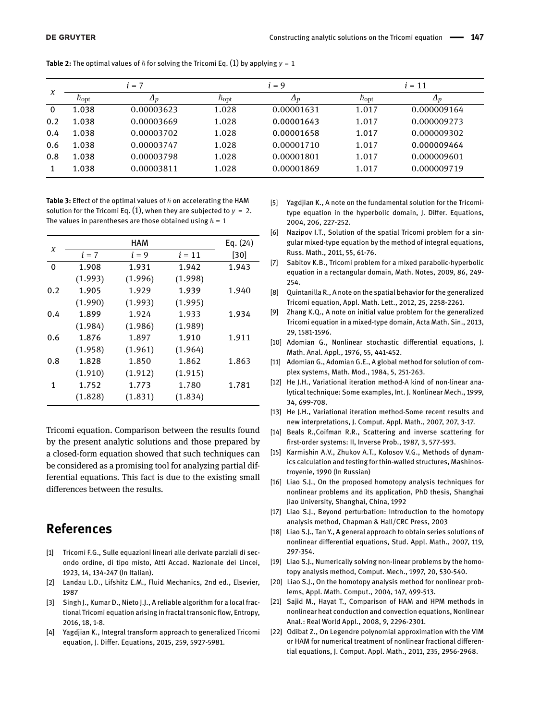| X           | $i = 7$              |            |                      | $i = 9$    |                      | $i = 11$    |  |
|-------------|----------------------|------------|----------------------|------------|----------------------|-------------|--|
|             | $\hbar_{\text{opt}}$ | $\Delta p$ | $\hbar_{\text{opt}}$ | $\Delta p$ | $\hbar_{\text{opt}}$ | $\Delta p$  |  |
| $\mathbf 0$ | 1.038                | 0.00003623 | 1.028                | 0.00001631 | 1.017                | 0.000009164 |  |
| 0.2         | 1.038                | 0.00003669 | 1.028                | 0.00001643 | 1.017                | 0.000009273 |  |
| 0.4         | 1.038                | 0.00003702 | 1.028                | 0.00001658 | 1.017                | 0.000009302 |  |
| 0.6         | 1.038                | 0.00003747 | 1.028                | 0.00001710 | 1.017                | 0.000009464 |  |
| 0.8         | 1.038                | 0.00003798 | 1.028                | 0.00001801 | 1.017                | 0.000009601 |  |
|             | 1.038                | 0.00003811 | 1.028                | 0.00001869 | 1.017                | 0.000009719 |  |

<span id="page-4-20"></span>**Table 2:** The optimal values of  $\hbar$  for solving the Tricomi Eq. [\(1\)](#page-0-0) by applying  $y = 1$ 

<span id="page-4-21"></span>**Table 3:** Effect of the optimal values of  $\hbar$  on accelerating the HAM solution for the Tricomi Eq. [\(1\)](#page-0-0), when they are subjected to  $y = 2$ . The values in parentheses are those obtained using  $\hbar = 1$ 

|     |         | Eq. $(24)$ |          |       |
|-----|---------|------------|----------|-------|
| X   | $i = 7$ | $i = 9$    | $i = 11$ | [30]  |
| 0   | 1.908   | 1.931      | 1.942    | 1.943 |
|     | (1.993) | (1.996)    | (1.998)  |       |
| 0.2 | 1.905   | 1.929      | 1.939    | 1.940 |
|     | (1.990) | (1.993)    | (1.995)  |       |
| 0.4 | 1.899   | 1.924      | 1.933    | 1.934 |
|     | (1.984) | (1.986)    | (1.989)  |       |
| 0.6 | 1.876   | 1.897      | 1.910    | 1.911 |
|     | (1.958) | (1.961)    | (1.964)  |       |
| 0.8 | 1.828   | 1.850      | 1.862    | 1.863 |
|     | (1.910) | (1.912)    | (1.915)  |       |
| 1   | 1.752   | 1.773      | 1.780    | 1.781 |
|     | (1.828) | (1.831)    | (1.834)  |       |

Tricomi equation. Comparison between the results found by the present analytic solutions and those prepared by a closed-form equation showed that such techniques can be considered as a promising tool for analyzing partial differential equations. This fact is due to the existing small differences between the results.

### **References**

- <span id="page-4-0"></span>[1] Tricomi F.G., Sulle equazioni lineari alle derivate parziali di secondo ordine, di tipo misto, Atti Accad. Nazionale dei Lincei, 1923, 14, 134-247 (In Italian).
- <span id="page-4-1"></span>[2] Landau L.D., Lifshitz E.M., Fluid Mechanics, 2nd ed., Elsevier, 1987
- <span id="page-4-2"></span>[3] Singh J., Kumar D., Nieto J.J., A reliable algorithm for a local fractional Tricomi equation arising in fractal transonic flow, Entropy, 2016, 18, 1-8.
- <span id="page-4-3"></span>[4] Yagdjian K., Integral transform approach to generalized Tricomi equation, J. Differ. Equations, 2015, 259, 5927-5981.
- <span id="page-4-4"></span>[5] Yagdjian K., A note on the fundamental solution for the Tricomitype equation in the hyperbolic domain, J. Differ. Equations, 2004, 206, 227-252.
- <span id="page-4-5"></span>[6] Nazipov I.T., Solution of the spatial Tricomi problem for a singular mixed-type equation by the method of integral equations, Russ. Math., 2011, 55, 61-76.
- <span id="page-4-6"></span>[7] Sabitov K.B., Tricomi problem for a mixed parabolic-hyperbolic equation in a rectangular domain, Math. Notes, 2009, 86, 249- 254.
- <span id="page-4-7"></span>[8] Quintanilla R., A note on the spatial behavior for the generalized Tricomi equation, Appl. Math. Lett., 2012, 25, 2258-2261.
- <span id="page-4-8"></span>[9] Zhang K.Q., A note on initial value problem for the generalized Tricomi equation in a mixed-type domain, Acta Math. Sin., 2013, 29, 1581-1596.
- <span id="page-4-9"></span>[10] Adomian G., Nonlinear stochastic differential equations, J. Math. Anal. Appl., 1976, 55, 441-452.
- <span id="page-4-10"></span>[11] Adomian G., Adomian G.E., A global method for solution of complex systems, Math. Mod., 1984, 5, 251-263.
- <span id="page-4-11"></span>[12] He J.H., Variational iteration method-A kind of non-linear analytical technique: Some examples, Int. J. Nonlinear Mech., 1999, 34, 699-708.
- <span id="page-4-12"></span>[13] He J.H., Variational iteration method-Some recent results and new interpretations, J. Comput. Appl. Math., 2007, 207, 3-17.
- <span id="page-4-13"></span>[14] Beals R., Coifman R.R., Scattering and inverse scattering for first-order systems: II, Inverse Prob., 1987, 3, 577-593.
- <span id="page-4-14"></span>[15] Karmishin A.V., Zhukov A.T., Kolosov V.G., Methods of dynamics calculation and testing for thin-walled structures, Mashinostroyenie, 1990 (In Russian)
- <span id="page-4-15"></span>[16] Liao S.J., On the proposed homotopy analysis techniques for nonlinear problems and its application, PhD thesis, Shanghai Jiao University, Shanghai, China, 1992
- <span id="page-4-19"></span>[17] Liao S.J., Beyond perturbation: Introduction to the homotopy analysis method, Chapman & Hall/CRC Press, 2003
- [18] Liao S.J., Tan Y., A general approach to obtain series solutions of nonlinear differential equations, Stud. Appl. Math., 2007, 119, 297-354.
- [19] Liao S.J., Numerically solving non-linear problems by the homotopy analysis method, Comput. Mech., 1997, 20, 530-540.
- <span id="page-4-16"></span>[20] Liao S.J., On the homotopy analysis method for nonlinear problems, Appl. Math. Comput., 2004, 147, 499-513.
- <span id="page-4-17"></span>[21] Sajid M., Hayat T., Comparison of HAM and HPM methods in nonlinear heat conduction and convection equations, Nonlinear Anal.: Real World Appl., 2008, 9, 2296-2301.
- <span id="page-4-18"></span>[22] Odibat Z., On Legendre polynomial approximation with the VIM or HAM for numerical treatment of nonlinear fractional differential equations, J. Comput. Appl. Math., 2011, 235, 2956-2968.